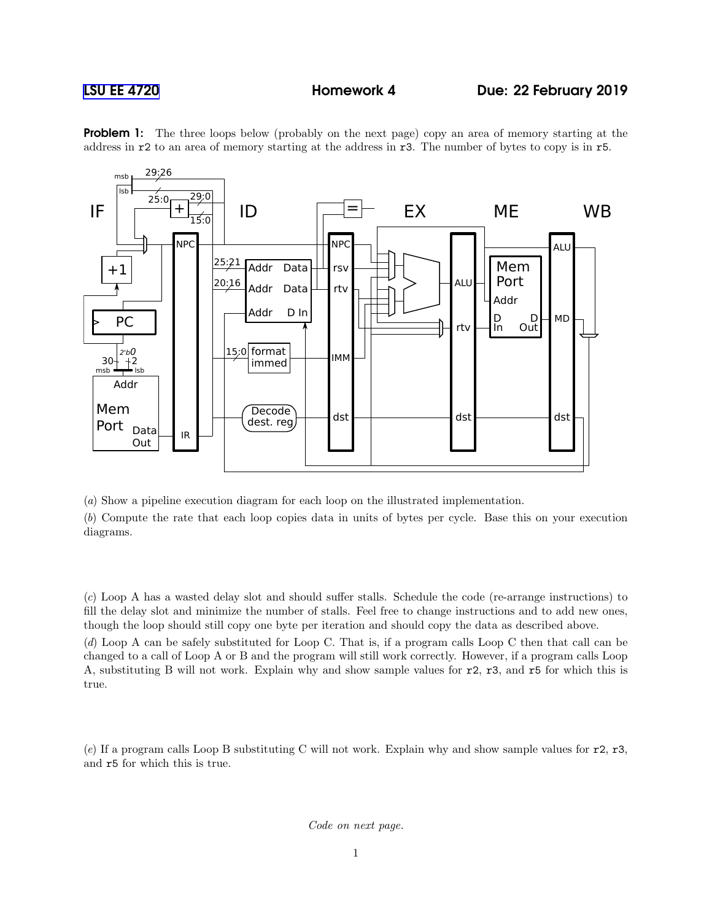

**Problem 1:** The three loops below (probably on the next page) copy an area of memory starting at the address in r2 to an area of memory starting at the address in r3. The number of bytes to copy is in r5.

(a) Show a pipeline execution diagram for each loop on the illustrated implementation.

(b) Compute the rate that each loop copies data in units of bytes per cycle. Base this on your execution diagrams.

(c) Loop A has a wasted delay slot and should suffer stalls. Schedule the code (re-arrange instructions) to fill the delay slot and minimize the number of stalls. Feel free to change instructions and to add new ones, though the loop should still copy one byte per iteration and should copy the data as described above.

(d) Loop A can be safely substituted for Loop C. That is, if a program calls Loop C then that call can be changed to a call of Loop A or B and the program will still work correctly. However, if a program calls Loop A, substituting B will not work. Explain why and show sample values for r2, r3, and r5 for which this is true.

(e) If a program calls Loop B substituting C will not work. Explain why and show sample values for  $r^2$ ,  $r^3$ , and r5 for which this is true.

Code on next page.